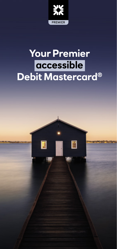

# **Your Premier accessible Debit Mastercard®**

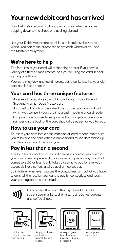## **Your new debit card has arrived**

Your Debit Mastercard is a handy way to pay whether you're popping down to the shops or travelling abroad.

Use your Debit Mastercard at millions of locations all over the World. You can make purchases or get cash wherever you see the Mastercard symbol.

## **We're here to help**

The features of your card will make things easier if you have a variety of different impairments, or if you're using the card in poor lighting conditions.

Your card may look and feel different, but it works just like your old card and is just as secure.

## **Your card has three unique features**

- A series of raised dots so you'll know it's your Royal Bank of Scotland Premier Debit Mastercard.
- A carved out notch on the side of the card, so you can work out which way to insert your card into a cash machine or card reader.
- Flat print (unembossed) design including a large font telephone number on the back of the card that will be easier for you to read.

## **How to use your card**

To insert your card into a cash machine or card reader, make sure you're holding the card with the number and raised dots facing up, and the carved notch nearest you.

## **Pay in less than a second**

The four-bar symbol on your card means it's contactless and that you now have a super-quick, no-fuss way to pay for anything that comes to £100 or less. It only takes a second to pay for everyday essentials like a coffee, lunch, travel or newspaper.

So in future, whenever you see the contactless symbol, all you have to do is tell the retailer you want to pay by contactless and touch your card against the card reader.



Look out for the contactless symbol at lots of high street supermarkets, chemists, fast food restaurants and coffee shops.



Look for the contactless symbol when paying.



Simply touch your contactless card against the card reader.



A beep or green light shows your payment is being processed.

| 0000     |  |
|----------|--|
| Approved |  |
|          |  |

Your payment is approved.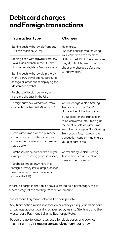## **Debit card charges and Foreign transactions**

| <b>Transaction type</b>                                                                                                                    | <b>Charges</b>                                                                                                                                                                                            |  |
|--------------------------------------------------------------------------------------------------------------------------------------------|-----------------------------------------------------------------------------------------------------------------------------------------------------------------------------------------------------------|--|
| Sterling cash withdrawals from any<br>UK cash machine (ATM).                                                                               | No charge.<br>(We won't charge you for using<br>your card at a cash machine<br>(ATM) in the UK but other companies<br>may do. You'll be told on screen<br>about any charges before you<br>withdraw cash.) |  |
| Sterling cash withdrawals from any<br>Royal Bank branch in the UK, the<br>Channel Islands, Isle of Man or Gibraltar.                       |                                                                                                                                                                                                           |  |
| Sterling cash withdrawals in the UK<br>in any bank, travel agent, bureau de<br>change or other outlet displaying the<br>Mastercard symbol. |                                                                                                                                                                                                           |  |
| Purchase of foreign currency or<br>travellers cheques in the UK.                                                                           |                                                                                                                                                                                                           |  |
| Foreign currency withdrawal from<br>any cash machine (ATM) in the UK.                                                                      | We will charge a Non-Sterling<br>Transaction Fee of 2.75%<br>of the value of the transaction.<br>If you elect for the transaction<br>to be converted into Sterling at<br>the point of sale or withdrawal, |  |
| Cash withdrawals or the purchase<br>of currency or travellers cheques<br>outside the UK (standard commission<br>rates apply).              | we will not charge a Non-Sterling<br>Transaction Fee, however the<br>transaction handler may charge<br>you a separate fee.                                                                                |  |
| Purchases made outside the UK (for<br>example, purchasing goods in a shop).                                                                | We will charge a Non-Sterling<br>Transaction Fee of 2.75% of the<br>value of the transaction.                                                                                                             |  |
| Purchases made anywhere in a<br>foreign currency (for example, online/<br>telephone purchases made in or<br>outside the UK).               |                                                                                                                                                                                                           |  |

Where a charge in the table above is stated as a percentage, this is a percentage of the sterling transaction amount.

#### Mastercard Payment Scheme Exchange Rate

Any transaction made in a foreign currency using your debit card or savings account card is converted by us into Sterling using the Mastercard Payment Scheme Exchange Rate.

To see the up-to-date rates used for debit cards and savings account cards visit [mastercard.co.uk/convert-currency](http://mastercard.co.uk/convert-currency).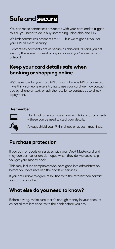## **Safe and secure**

You can make contactless payments with your card and to trigger this all you need to do is buy something using chip and PIN.

We limit contactless payments to £100 but we might ask you for your PIN as extra security.

Contactless payments are as secure as chip and PIN and you get exactly the same money-back guarantee if you're ever a victim of fraud.

### **Keep your card details safe when banking or shopping online**

We'll never ask for your card PIN or your full online PIN or password. If we think someone else is trying to use your card we may contact you by phone or text, or ask the retailer to contact us to check a payment.

#### **Remember**



Don't click on suspicious emails with links or attachments – these can be used to steal your details.

Always shield your PIN in shops or at cash machines.

## **Purchase protection**

If you pay for goods or services with your Debit Mastercard and they don't arrive, or are damaged when they do, we could help you get your money back.

This may include companies who have gone into administration before you have received the goods or services.

If you are unable to agree resolution with the retailer then contact your branch for help.

## **What else do you need to know?**

Before paying, make sure there's enough money in your account, as not all retailers check with the bank before you pay.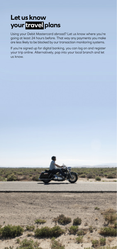## **Let us know your travel plans**

Using your Debit Mastercard abroad? Let us know where you're going at least 24 hours before. That way any payments you make are less likely to be blocked by our transaction monitoring systems.

If you're signed up for digital banking, you can log on and register your trip online. Alternatively, pop into your local branch and let us know.